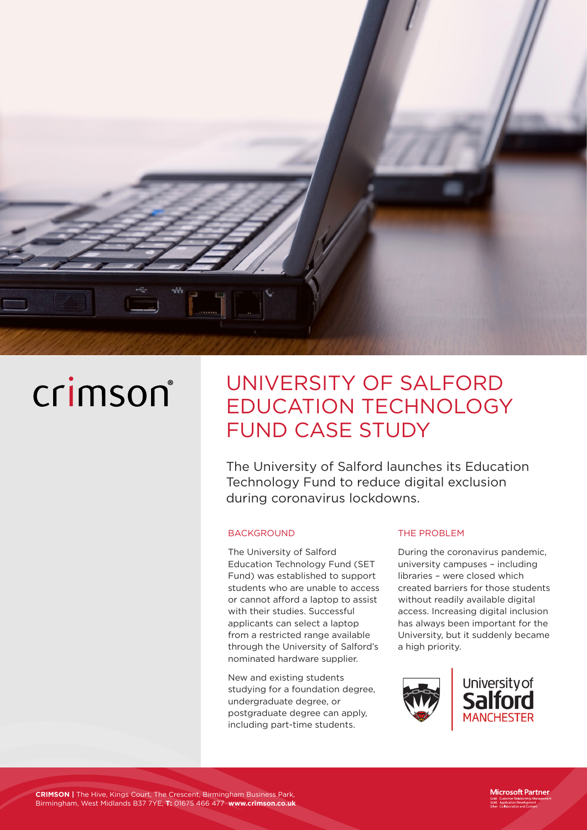

# crimson®

# UNIVERSITY OF SALFORD EDUCATION TECHNOLOGY FUND CASE STUDY

The University of Salford launches its Education Technology Fund to reduce digital exclusion during coronavirus lockdowns.

#### **BACKGROUND**

The University of Salford Education Technology Fund (SET Fund) was established to support students who are unable to access or cannot afford a laptop to assist with their studies. Successful applicants can select a laptop from a restricted range available through the University of Salford's nominated hardware supplier.

New and existing students studying for a foundation degree, undergraduate degree, or postgraduate degree can apply, including part-time students.

#### THE PROBLEM

During the coronavirus pandemic, university campuses – including libraries – were closed which created barriers for those students without readily available digital access. Increasing digital inclusion has always been important for the University, but it suddenly became a high priority.